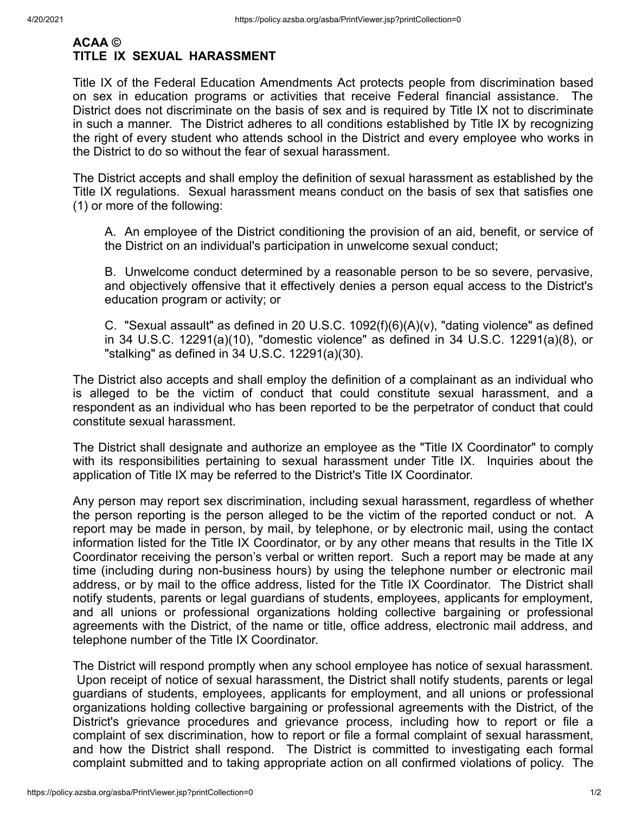## **ACAA © TITLE IX SEXUAL HARASSMENT**

Title IX of the Federal Education Amendments Act protects people from discrimination based on sex in education programs or activities that receive Federal financial assistance. The District does not discriminate on the basis of sex and is required by Title IX not to discriminate in such a manner. The District adheres to all conditions established by Title IX by recognizing the right of every student who attends school in the District and every employee who works in the District to do so without the fear of sexual harassment.

The District accepts and shall employ the definition of sexual harassment as established by the Title IX regulations. Sexual harassment means conduct on the basis of sex that satisfies one (1) or more of the following:

A. An employee of the District conditioning the provision of an aid, benefit, or service of the District on an individual's participation in unwelcome sexual conduct;

B. Unwelcome conduct determined by a reasonable person to be so severe, pervasive, and objectively offensive that it effectively denies a person equal access to the District's education program or activity; or

C. "Sexual assault" as defined in 20 U.S.C. 1092(f)(6)(A)(v), "dating violence" as defined in 34 U.S.C. 12291(a)(10), "domestic violence" as defined in 34 U.S.C. 12291(a)(8), or "stalking" as defined in 34 U.S.C. 12291(a)(30).

The District also accepts and shall employ the definition of a complainant as an individual who is alleged to be the victim of conduct that could constitute sexual harassment, and a respondent as an individual who has been reported to be the perpetrator of conduct that could constitute sexual harassment.

The District shall designate and authorize an employee as the "Title IX Coordinator" to comply with its responsibilities pertaining to sexual harassment under Title IX. Inquiries about the application of Title IX may be referred to the District's Title IX Coordinator.

Any person may report sex discrimination, including sexual harassment, regardless of whether the person reporting is the person alleged to be the victim of the reported conduct or not. A report may be made in person, by mail, by telephone, or by electronic mail, using the contact information listed for the Title IX Coordinator, or by any other means that results in the Title IX Coordinator receiving the person's verbal or written report. Such a report may be made at any time (including during non-business hours) by using the telephone number or electronic mail address, or by mail to the office address, listed for the Title IX Coordinator. The District shall notify students, parents or legal guardians of students, employees, applicants for employment, and all unions or professional organizations holding collective bargaining or professional agreements with the District, of the name or title, office address, electronic mail address, and telephone number of the Title IX Coordinator.

The District will respond promptly when any school employee has notice of sexual harassment. Upon receipt of notice of sexual harassment, the District shall notify students, parents or legal guardians of students, employees, applicants for employment, and all unions or professional organizations holding collective bargaining or professional agreements with the District, of the District's grievance procedures and grievance process, including how to report or file a complaint of sex discrimination, how to report or file a formal complaint of sexual harassment, and how the District shall respond. The District is committed to investigating each formal complaint submitted and to taking appropriate action on all confirmed violations of policy. The